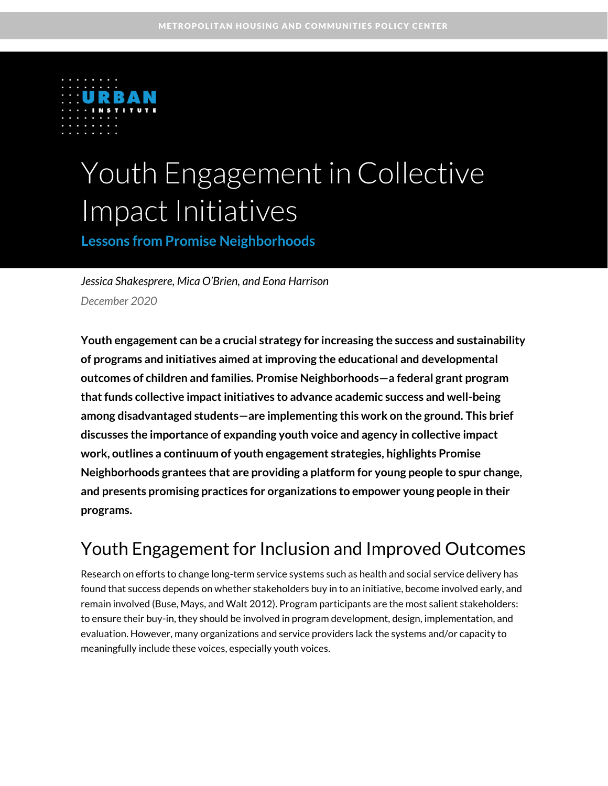

# Youth Engagement in Collective Impact Initiatives

**Lessons from Promise Neighborhoods**

*Jessica Shakesprere, Mica O'Brien, and Eona Harrison December 2020*

**Youth engagement can be a crucial strategy for increasing the success and sustainability of programs and initiatives aimed at improving the educational and developmental outcomes of children and families. Promise Neighborhoods—a federal grant program that funds collective impact initiatives to advance academic success and well-being among disadvantaged students—are implementing this work on the ground. This brief discusses the importance of expanding youth voice and agency in collective impact work, outlines a continuum of youth engagement strategies, highlights Promise Neighborhoods grantees that are providing a platform for young people to spur change, and presents promising practices for organizations to empower young people in their programs.**

# Youth Engagement for Inclusion and Improved Outcomes

Research on efforts to change long-term service systems such as health and social service delivery has found that success depends on whether stakeholders buy in to an initiative, become involved early, and remain involved (Buse, Mays, and Walt 2012). Program participants are the most salient stakeholders: to ensure their buy-in, they should be involved in program development, design, implementation, and evaluation. However, many organizations and service providers lack the systems and/or capacity to meaningfully include these voices, especially youth voices.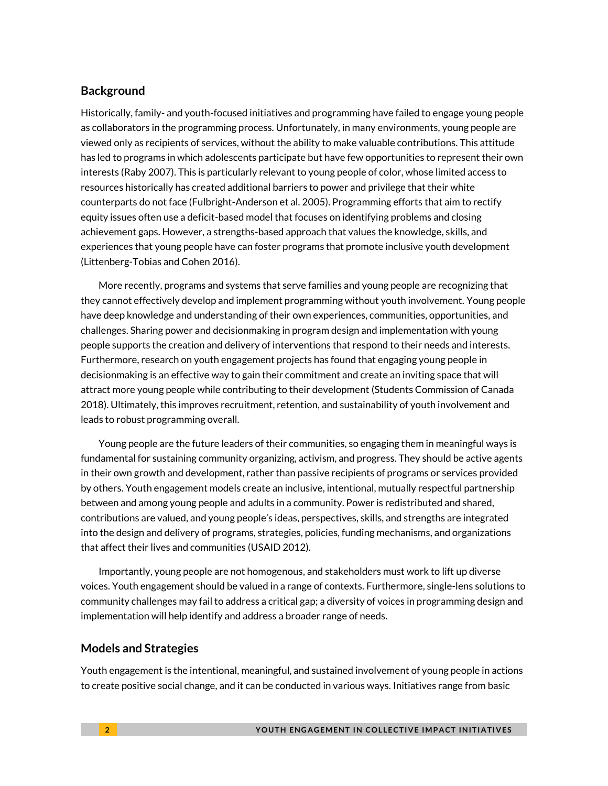### **Background**

Historically, family- and youth-focused initiatives and programming have failed to engage young people as collaborators in the programming process. Unfortunately, in many environments, young people are viewed only as recipients of services, without the ability to make valuable contributions. This attitude has led to programs in which adolescents participate but have few opportunities to represent their own interests (Raby 2007). This is particularly relevant to young people of color, whose limited access to resources historically has created additional barriers to power and privilege that their white counterparts do not face (Fulbright-Anderson et al. 2005). Programming efforts that aim to rectify equity issues often use a deficit-based model that focuses on identifying problems and closing achievement gaps. However, a strengths-based approach that values the knowledge, skills, and experiences that young people have can foster programs that promote inclusive youth development (Littenberg-Tobias and Cohen 2016).

More recently, programs and systems that serve families and young people are recognizing that they cannot effectively develop and implement programming without youth involvement. Young people have deep knowledge and understanding of their own experiences, communities, opportunities, and challenges. Sharing power and decisionmaking in program design and implementation with young people supports the creation and delivery of interventions that respond to their needs and interests. Furthermore, research on youth engagement projects has found that engaging young people in decisionmaking is an effective way to gain their commitment and create an inviting space that will attract more young people while contributing to their development (Students Commission of Canada 2018). Ultimately, this improves recruitment, retention, and sustainability of youth involvement and leads to robust programming overall.

Young people are the future leaders of their communities, so engaging them in meaningful ways is fundamental for sustaining community organizing, activism, and progress. They should be active agents in their own growth and development, rather than passive recipients of programs or services provided by others. Youth engagement models create an inclusive, intentional, mutually respectful partnership between and among young people and adults in a community. Power is redistributed and shared, contributions are valued, and young people's ideas, perspectives, skills, and strengths are integrated into the design and delivery of programs, strategies, policies, funding mechanisms, and organizations that affect their lives and communities (USAID 2012).

Importantly, young people are not homogenous, and stakeholders must work to lift up diverse voices. Youth engagement should be valued in a range of contexts. Furthermore, single-lens solutions to community challenges may fail to address a critical gap; a diversity of voices in programming design and implementation will help identify and address a broader range of needs.

#### **Models and Strategies**

Youth engagement is the intentional, meaningful, and sustained involvement of young people in actions to create positive social change, and it can be conducted in various ways. Initiatives range from basic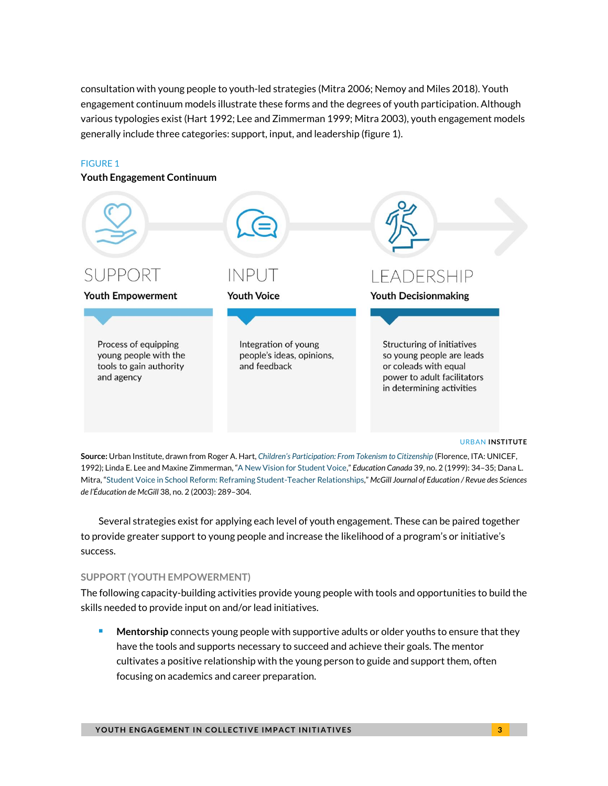consultation with young people to youth-led strategies (Mitra 2006; Nemoy and Miles 2018). Youth engagement continuum models illustrate these forms and the degrees of youth participation. Although various typologies exist (Hart 1992; Lee and Zimmerman 1999; Mitra 2003), youth engagement models generally include three categories: support, input, and leadership (figure 1).

### FIGURE 1

#### **Youth Engagement Continuum**



**Source:** Urban Institute, drawn from Roger A. Hart, *[Children's Participation: From Tokenism to Citizenship](https://www.unicef-irc.org/publications/pdf/childrens_participation.pdf)* (Florence, ITA: UNICEF, 1992); Linda E. Lee and Maxine Zimmerman, "[A New Vision for Student Voice](https://www.edcan.ca/wp-content/uploads/EdCan-1999-v39-n2-Lee.pdf)," *Education Canada* 39, no. 2 (1999): 34–35; Dana L. Mitra, "[Student Voice in School Reform: Reframing Student-Teacher Relationships](https://mje.mcgill.ca/article/view/8686)," *McGill Journal of Education / Revue des Sciences de l'Éducation de McGill* 38, no. 2 (2003): 289–304.

Several strategies exist for applying each level of youth engagement. These can be paired together to provide greater support to young people and increase the likelihood of a program's or initiative's success.

#### **SUPPORT (YOUTH EMPOWERMENT)**

The following capacity-building activities provide young people with tools and opportunities to build the skills needed to provide input on and/or lead initiatives.

**Mentorship** connects young people with supportive adults or older youths to ensure that they have the tools and supports necessary to succeed and achieve their goals. The mentor cultivates a positive relationship with the young person to guide and support them, often focusing on academics and career preparation.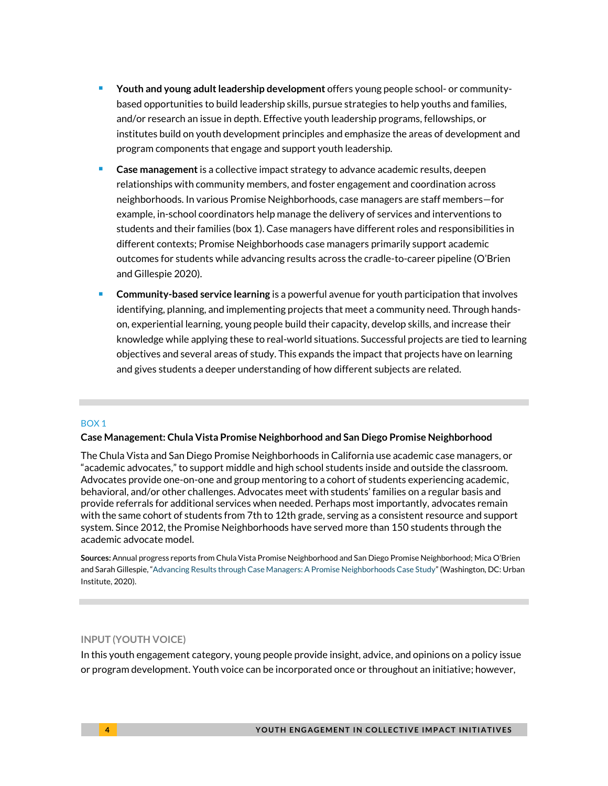- <sup>◼</sup> **Youth and young adult leadership development** offers young people school- or communitybased opportunities to build leadership skills, pursue strategies to help youths and families, and/or research an issue in depth. Effective youth leadership programs, fellowships, or institutes build on youth development principles and emphasize the areas of development and program components that engage and support youth leadership.
- **Case management** is a collective impact strategy to advance academic results, deepen relationships with community members, and foster engagement and coordination across neighborhoods. In various Promise Neighborhoods, case managers are staff members—for example, in-school coordinators help manage the delivery of services and interventions to students and their families (box 1). Case managers have different roles and responsibilities in different contexts; Promise Neighborhoods case managers primarily support academic outcomes for students while advancing results across the cradle-to-career pipeline (O'Brien and Gillespie 2020).
- <sup>◼</sup> **Community-based service learning** is a powerful avenue for youth participation that involves identifying, planning, and implementing projects that meet a community need. Through handson, experiential learning, young people build their capacity, develop skills, and increase their knowledge while applying these to real-world situations. Successful projects are tied to learning objectives and several areas of study. This expands the impact that projects have on learning and gives students a deeper understanding of how different subjects are related.

#### BOX 1

#### **Case Management: Chula Vista Promise Neighborhood and San Diego Promise Neighborhood**

The Chula Vista and San Diego Promise Neighborhoods in California use academic case managers, or "academic advocates," to support middle and high school students inside and outside the classroom. Advocates provide one-on-one and group mentoring to a cohort of students experiencing academic, behavioral, and/or other challenges. Advocates meet with students' families on a regular basis and provide referrals for additional services when needed. Perhaps most importantly, advocates remain with the same cohort of students from 7th to 12th grade, serving as a consistent resource and support system. Since 2012, the Promise Neighborhoods have served more than 150 students through the academic advocate model.

**Sources:** Annual progress reports from Chula Vista Promise Neighborhood and San Diego Promise Neighborhood; Mica O'Brien and Sarah Gillespie, "[Advancing Results through Case Managers: A Promise Neighborhoods Case Study](https://www.urban.org/research/publication/advancing-results-through-case-managers)" (Washington, DC: Urban Institute, 2020).

#### **INPUT (YOUTH VOICE)**

In this youth engagement category, young people provide insight, advice, and opinions on a policy issue or program development. Youth voice can be incorporated once or throughout an initiative; however,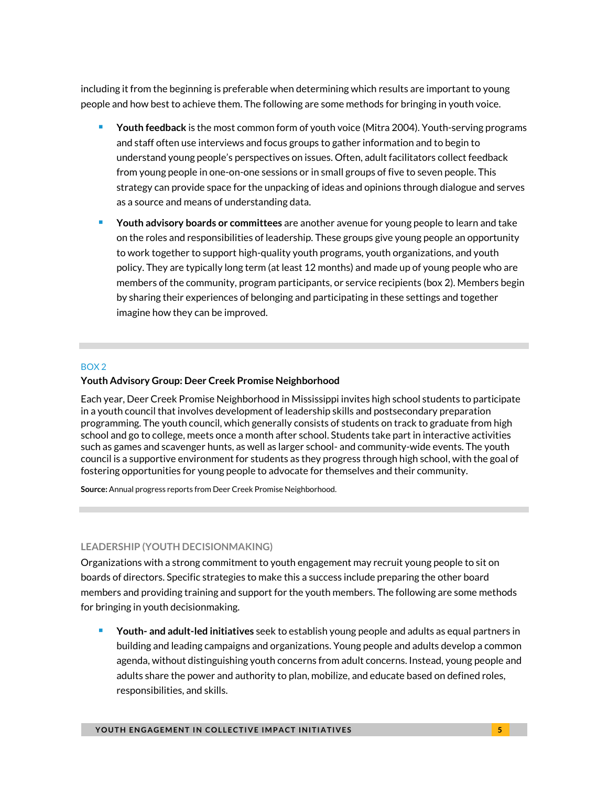including it from the beginning is preferable when determining which results are important to young people and how best to achieve them. The following are some methods for bringing in youth voice.

- Youth feedback is the most common form of youth voice (Mitra 2004). Youth-serving programs and staff often use interviews and focus groups to gather information and to begin to understand young people's perspectives on issues. Often, adult facilitators collect feedback from young people in one-on-one sessions or in small groups of five to seven people. This strategy can provide space for the unpacking of ideas and opinions through dialogue and serves as a source and means of understanding data.
- <sup>◼</sup> **Youth advisory boards or committees** are another avenue for young people to learn and take on the roles and responsibilities of leadership. These groups give young people an opportunity to work together to support high-quality youth programs, youth organizations, and youth policy. They are typically long term (at least 12 months) and made up of young people who are members of the community, program participants, or service recipients (box 2). Members begin by sharing their experiences of belonging and participating in these settings and together imagine how they can be improved.

#### BOX 2

#### **Youth Advisory Group: Deer Creek Promise Neighborhood**

Each year, Deer Creek Promise Neighborhood in Mississippi invites high school students to participate in a youth council that involves development of leadership skills and postsecondary preparation programming. The youth council, which generally consists of students on track to graduate from high school and go to college, meets once a month after school. Students take part in interactive activities such as games and scavenger hunts, as well as larger school- and community-wide events. The youth council is a supportive environment for students as they progress through high school, with the goal of fostering opportunities for young people to advocate for themselves and their community.

**Source:** Annual progress reports from Deer Creek Promise Neighborhood.

#### **LEADERSHIP (YOUTH DECISIONMAKING)**

Organizations with a strong commitment to youth engagement may recruit young people to sit on boards of directors. Specific strategies to make this a success include preparing the other board members and providing training and support for the youth members. The following are some methods for bringing in youth decisionmaking.

■ Youth- and adult-led initiatives seek to establish young people and adults as equal partners in building and leading campaigns and organizations. Young people and adults develop a common agenda, without distinguishing youth concerns from adult concerns. Instead, young people and adults share the power and authority to plan, mobilize, and educate based on defined roles, responsibilities, and skills.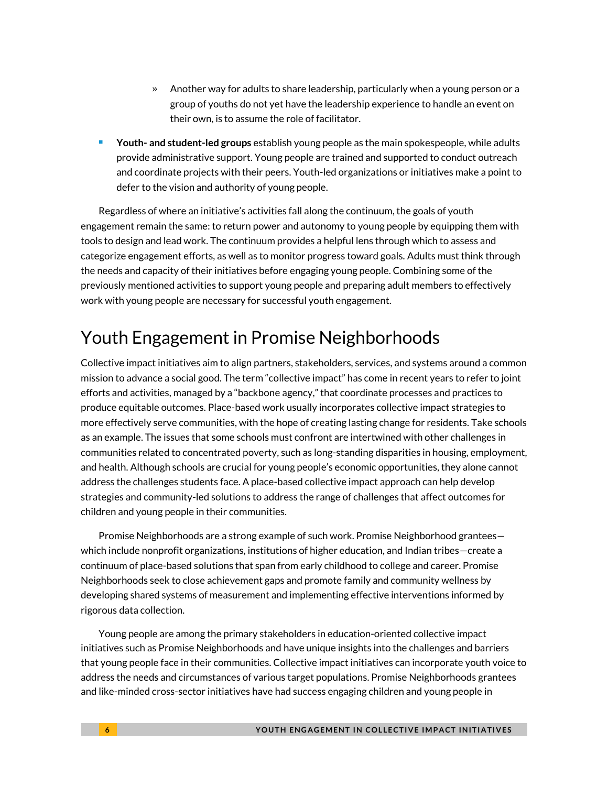- » Another way for adults to share leadership, particularly when a young person or a group of youths do not yet have the leadership experience to handle an event on their own, is to assume the role of facilitator.
- <sup>◼</sup> **Youth- and student-led groups** establish young people as the main spokespeople, while adults provide administrative support. Young people are trained and supported to conduct outreach and coordinate projects with their peers. Youth-led organizations or initiatives make a point to defer to the vision and authority of young people.

Regardless of where an initiative's activities fall along the continuum, the goals of youth engagement remain the same: to return power and autonomy to young people by equipping them with tools to design and lead work. The continuum provides a helpful lens through which to assess and categorize engagement efforts, as well as to monitor progress toward goals. Adults must think through the needs and capacity of their initiatives before engaging young people. Combining some of the previously mentioned activities to support young people and preparing adult members to effectively work with young people are necessary for successful youth engagement.

# Youth Engagement in Promise Neighborhoods

Collective impact initiatives aim to align partners, stakeholders, services, and systems around a common mission to advance a social good. The term "collective impact" has come in recent years to refer to joint efforts and activities, managed by a "backbone agency," that coordinate processes and practices to produce equitable outcomes. Place-based work usually incorporates collective impact strategies to more effectively serve communities, with the hope of creating lasting change for residents. Take schools as an example. The issues that some schools must confront are intertwined with other challenges in communities related to concentrated poverty, such as long-standing disparities in housing, employment, and health. Although schools are crucial for young people's economic opportunities, they alone cannot address the challenges students face. A place-based collective impact approach can help develop strategies and community-led solutions to address the range of challenges that affect outcomes for children and young people in their communities.

Promise Neighborhoods are a strong example of such work. Promise Neighborhood grantees which include nonprofit organizations, institutions of higher education, and Indian tribes—create a continuum of place-based solutions that span from early childhood to college and career. Promise Neighborhoods seek to close achievement gaps and promote family and community wellness by developing shared systems of measurement and implementing effective interventions informed by rigorous data collection.

Young people are among the primary stakeholders in education-oriented collective impact initiatives such as Promise Neighborhoods and have unique insights into the challenges and barriers that young people face in their communities. Collective impact initiatives can incorporate youth voice to address the needs and circumstances of various target populations. Promise Neighborhoods grantees and like-minded cross-sector initiatives have had success engaging children and young people in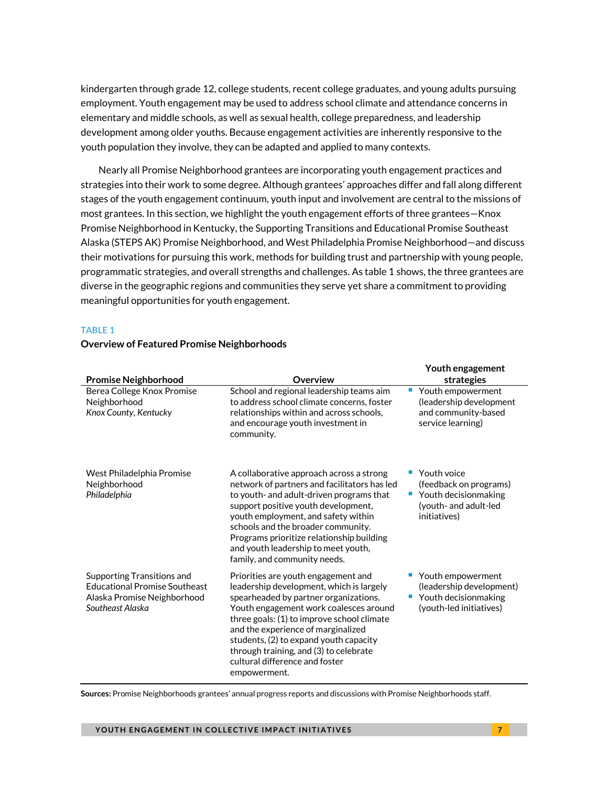kindergarten through grade 12, college students, recent college graduates, and young adults pursuing employment. Youth engagement may be used to address school climate and attendance concerns in elementary and middle schools, as well as sexual health, college preparedness, and leadership development among older youths. Because engagement activities are inherently responsive to the youth population they involve, they can be adapted and applied to many contexts.

Nearly all Promise Neighborhood grantees are incorporating youth engagement practices and strategies into their work to some degree. Although grantees' approaches differ and fall along different stages of the youth engagement continuum, youth input and involvement are central to the missions of most grantees. In this section, we highlight the youth engagement efforts of three grantees—Knox Promise Neighborhood in Kentucky, the Supporting Transitions and Educational Promise Southeast Alaska (STEPS AK) Promise Neighborhood, and West Philadelphia Promise Neighborhood—and discuss their motivations for pursuing this work, methods for building trust and partnership with young people, programmatic strategies, and overall strengths and challenges. As table 1 shows, the three grantees are diverse in the geographic regions and communities they serve yet share a commitment to providing meaningful opportunities for youth engagement.

#### TABLE 1

|                                                                                                                       |                                                                                                                                                                                                                                                                                                                                                                                              | Youth engagement                                                                                             |
|-----------------------------------------------------------------------------------------------------------------------|----------------------------------------------------------------------------------------------------------------------------------------------------------------------------------------------------------------------------------------------------------------------------------------------------------------------------------------------------------------------------------------------|--------------------------------------------------------------------------------------------------------------|
| <b>Promise Neighborhood</b>                                                                                           | Overview                                                                                                                                                                                                                                                                                                                                                                                     | strategies                                                                                                   |
| Berea College Knox Promise<br>Neighborhood<br>Knox County, Kentucky                                                   | School and regional leadership teams aim<br>to address school climate concerns, foster<br>relationships within and across schools,<br>and encourage youth investment in<br>community.                                                                                                                                                                                                        | Youth empowerment<br>(leadership development<br>and community-based<br>service learning)                     |
| West Philadelphia Promise<br>Neighborhood<br>Philadelphia                                                             | A collaborative approach across a strong<br>network of partners and facilitators has led<br>to youth- and adult-driven programs that<br>support positive youth development,<br>youth employment, and safety within<br>schools and the broader community.<br>Programs prioritize relationship building<br>and youth leadership to meet youth,<br>family, and community needs.                 | Youth voice<br>(feedback on programs)<br>Youth decisionmaking<br>L.<br>(youth- and adult-led<br>initiatives) |
| Supporting Transitions and<br><b>Educational Promise Southeast</b><br>Alaska Promise Neighborhood<br>Southeast Alaska | Priorities are youth engagement and<br>leadership development, which is largely<br>spearheaded by partner organizations.<br>Youth engagement work coalesces around<br>three goals: (1) to improve school climate<br>and the experience of marginalized<br>students, (2) to expand youth capacity<br>through training, and (3) to celebrate<br>cultural difference and foster<br>empowerment. | Youth empowerment<br>(leadership development)<br>Youth decisionmaking<br>(youth-led initiatives)             |

#### **Overview of Featured Promise Neighborhoods**

**Sources:** Promise Neighborhoods grantees' annual progress reports and discussions with Promise Neighborhoods staff.

**YOUTH ENGAGEMENT IN COLLECTIVE IMPACT INITIATIVES** And the state of the state of  $\overline{z}$ 

**Youth engagement**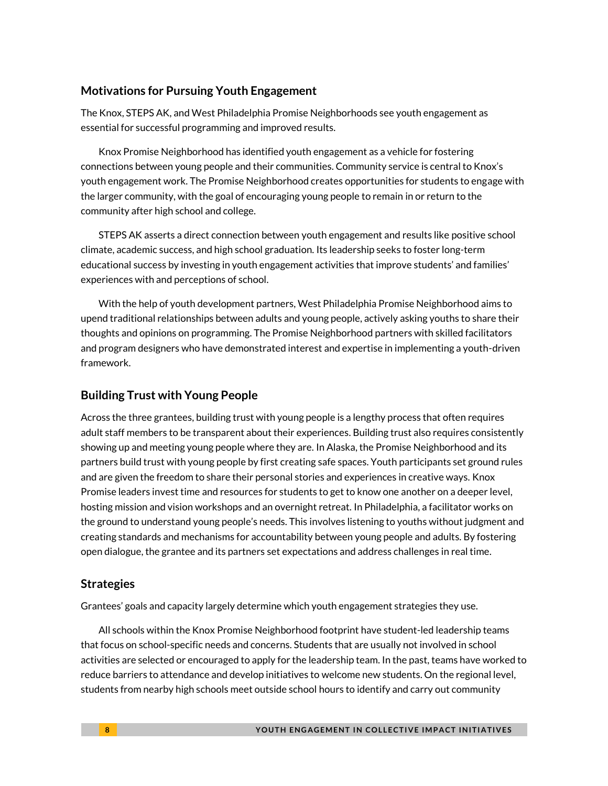### **Motivations for Pursuing Youth Engagement**

The Knox, STEPS AK, and West Philadelphia Promise Neighborhoods see youth engagement as essential for successful programming and improved results.

Knox Promise Neighborhood has identified youth engagement as a vehicle for fostering connections between young people and their communities. Community service is central to Knox's youth engagement work. The Promise Neighborhood creates opportunities for students to engage with the larger community, with the goal of encouraging young people to remain in or return to the community after high school and college.

STEPS AK asserts a direct connection between youth engagement and results like positive school climate, academic success, and high school graduation. Its leadership seeks to foster long-term educational success by investing in youth engagement activities that improve students' and families' experiences with and perceptions of school.

With the help of youth development partners, West Philadelphia Promise Neighborhood aims to upend traditional relationships between adults and young people, actively asking youths to share their thoughts and opinions on programming. The Promise Neighborhood partners with skilled facilitators and program designers who have demonstrated interest and expertise in implementing a youth-driven framework.

## **Building Trust with Young People**

Across the three grantees, building trust with young people is a lengthy process that often requires adult staff members to be transparent about their experiences. Building trust also requires consistently showing up and meeting young people where they are. In Alaska, the Promise Neighborhood and its partners build trust with young people by first creating safe spaces. Youth participants set ground rules and are given the freedom to share their personal stories and experiences in creative ways. Knox Promise leaders invest time and resources for students to get to know one another on a deeper level, hosting mission and vision workshops and an overnight retreat. In Philadelphia, a facilitator works on the ground to understand young people's needs. This involves listening to youths without judgment and creating standards and mechanisms for accountability between young people and adults. By fostering open dialogue, the grantee and its partners set expectations and address challenges in real time.

### **Strategies**

Grantees' goals and capacity largely determine which youth engagement strategies they use.

All schools within the Knox Promise Neighborhood footprint have student-led leadership teams that focus on school-specific needs and concerns. Students that are usually not involved in school activities are selected or encouraged to apply for the leadership team. In the past, teams have worked to reduce barriers to attendance and develop initiatives to welcome new students. On the regional level, students from nearby high schools meet outside school hours to identify and carry out community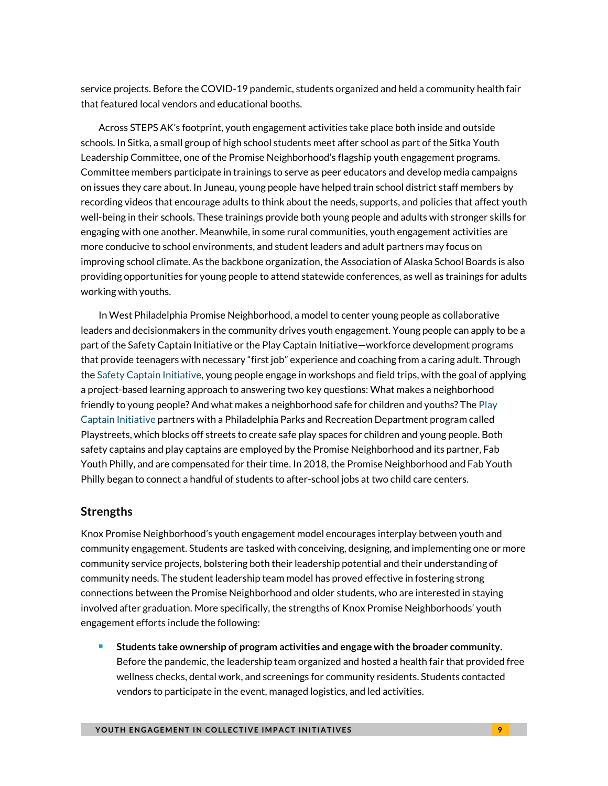service projects. Before the COVID-19 pandemic, students organized and held a community health fair that featured local vendors and educational booths.

Across STEPS AK's footprint, youth engagement activities take place both inside and outside schools. In Sitka, a small group of high school students meet after school as part of the Sitka Youth Leadership Committee, one of the Promise Neighborhood's flagship youth engagement programs. Committee members participate in trainings to serve as peer educators and develop media campaigns on issues they care about. In Juneau, young people have helped train school district staff members by recording videos that encourage adults to think about the needs, supports, and policies that affect youth well-being in their schools. These trainings provide both young people and adults with stronger skills for engaging with one another. Meanwhile, in some rural communities, youth engagement activities are more conducive to school environments, and student leaders and adult partners may focus on improving school climate. As the backbone organization, the Association of Alaska School Boards is also providing opportunities for young people to attend statewide conferences, as well as trainings for adults working with youths.

In West Philadelphia Promise Neighborhood, a model to center young people as collaborative leaders and decisionmakers in the community drives youth engagement. Young people can apply to be a part of the Safety Captain Initiative or the Play Captain Initiative—workforce development programs that provide teenagers with necessary "first job" experience and coaching from a caring adult. Through the [Safety Captain Initiative,](https://www.safetycaptains.com/) young people engage in workshops and field trips, with the goal of applying a project-based learning approach to answering two key questions: What makes a neighborhood friendly to young people? And what makes a neighborhood safe for children and youths? Th[e Play](https://www.playcaptains.com/about_us)  Captain [Initiative](https://www.playcaptains.com/about_us) partners with a Philadelphia Parks and Recreation Department program called Playstreets, which blocks off streets to create safe play spaces for children and young people. Both safety captains and play captains are employed by the Promise Neighborhood and its partner, Fab Youth Philly, and are compensated for their time. In 2018, the Promise Neighborhood and Fab Youth Philly began to connect a handful of students to after-school jobs at two child care centers.

### **Strengths**

Knox Promise Neighborhood's youth engagement model encourages interplay between youth and community engagement. Students are tasked with conceiving, designing, and implementing one or more community service projects, bolstering both their leadership potential and their understanding of community needs. The student leadership team model has proved effective in fostering strong connections between the Promise Neighborhood and older students, who are interested in staying involved after graduation. More specifically, the strengths of Knox Promise Neighborhoods' youth engagement efforts include the following:

<sup>◼</sup> **Students take ownership of program activities and engage with the broader community.** Before the pandemic, the leadership team organized and hosted a health fair that provided free wellness checks, dental work, and screenings for community residents. Students contacted vendors to participate in the event, managed logistics, and led activities.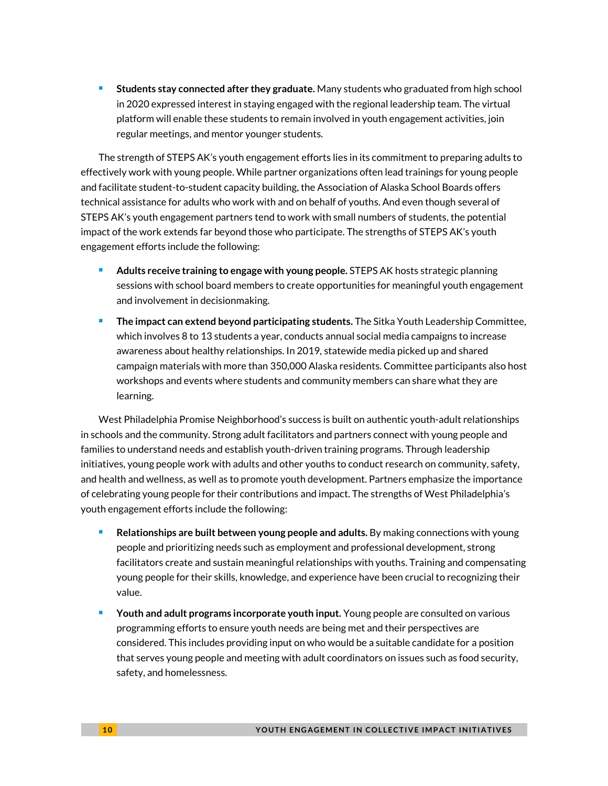<sup>◼</sup> **Students stay connected after they graduate.** Many students who graduated from high school in 2020 expressed interest in staying engaged with the regional leadership team. The virtual platform will enable these students to remain involved in youth engagement activities, join regular meetings, and mentor younger students.

The strength of STEPS AK's youth engagement efforts lies in its commitment to preparing adults to effectively work with young people. While partner organizations often lead trainings for young people and facilitate student-to-student capacity building, the Association of Alaska School Boards offers technical assistance for adults who work with and on behalf of youths. And even though several of STEPS AK's youth engagement partners tend to work with small numbers of students, the potential impact of the work extends far beyond those who participate. The strengths of STEPS AK's youth engagement efforts include the following:

- <sup>◼</sup> **Adults receive training to engage with young people.** STEPS AK hosts strategic planning sessions with school board members to create opportunities for meaningful youth engagement and involvement in decisionmaking.
- <sup>◼</sup> **The impact can extend beyond participating students.** The Sitka Youth Leadership Committee, which involves 8 to 13 students a year, conducts annual social media campaigns to increase awareness about healthy relationships. In 2019, statewide media picked up and shared campaign materials with more than 350,000 Alaska residents. Committee participants also host workshops and events where students and community members can share what they are learning.

West Philadelphia Promise Neighborhood's success is built on authentic youth-adult relationships in schools and the community. Strong adult facilitators and partners connect with young people and families to understand needs and establish youth-driven training programs. Through leadership initiatives, young people work with adults and other youths to conduct research on community, safety, and health and wellness, as well as to promote youth development. Partners emphasize the importance of celebrating young people for their contributions and impact. The strengths of West Philadelphia's youth engagement efforts include the following:

- **Relationships are built between young people and adults.** By making connections with young people and prioritizing needs such as employment and professional development, strong facilitators create and sustain meaningful relationships with youths. Training and compensating young people for their skills, knowledge, and experience have been crucial to recognizing their value.
- <sup>◼</sup> **Youth and adult programs incorporate youth input.** Young people are consulted on various programming efforts to ensure youth needs are being met and their perspectives are considered. This includes providing input on who would be a suitable candidate for a position that serves young people and meeting with adult coordinators on issues such as food security, safety, and homelessness.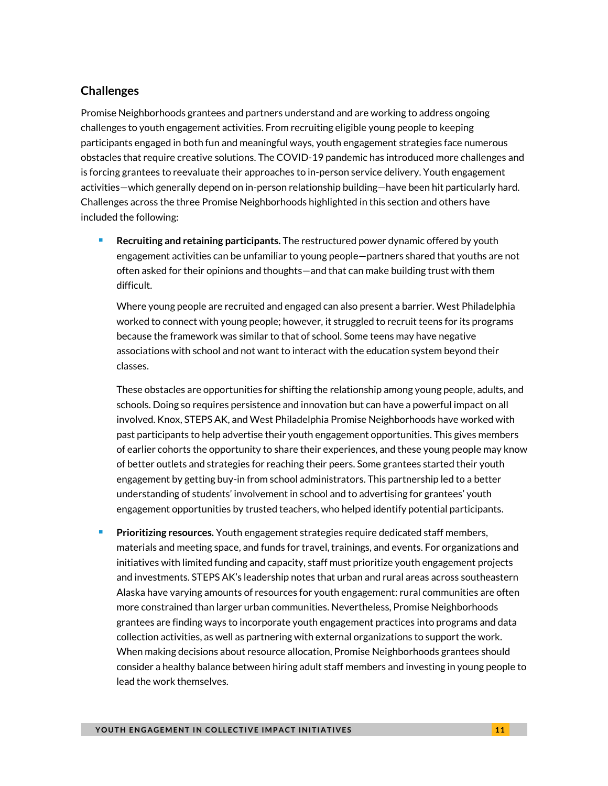# **Challenges**

Promise Neighborhoods grantees and partners understand and are working to address ongoing challenges to youth engagement activities. From recruiting eligible young people to keeping participants engaged in both fun and meaningful ways, youth engagement strategies face numerous obstacles that require creative solutions. The COVID-19 pandemic has introduced more challenges and is forcing grantees to reevaluate their approaches to in-person service delivery. Youth engagement activities—which generally depend on in-person relationship building—have been hit particularly hard. Challenges across the three Promise Neighborhoods highlighted in this section and others have included the following:

<sup>◼</sup> **Recruiting and retaining participants.** The restructured power dynamic offered by youth engagement activities can be unfamiliar to young people—partners shared that youths are not often asked for their opinions and thoughts—and that can make building trust with them difficult.

Where young people are recruited and engaged can also present a barrier. West Philadelphia worked to connect with young people; however, it struggled to recruit teens for its programs because the framework was similar to that of school. Some teens may have negative associations with school and not want to interact with the education system beyond their classes.

These obstacles are opportunities for shifting the relationship among young people, adults, and schools. Doing so requires persistence and innovation but can have a powerful impact on all involved. Knox, STEPS AK, and West Philadelphia Promise Neighborhoods have worked with past participants to help advertise their youth engagement opportunities. This gives members of earlier cohorts the opportunity to share their experiences, and these young people may know of better outlets and strategies for reaching their peers. Some grantees started their youth engagement by getting buy-in from school administrators. This partnership led to a better understanding of students' involvement in school and to advertising for grantees' youth engagement opportunities by trusted teachers, who helped identify potential participants.

<sup>◼</sup> **Prioritizing resources.** Youth engagement strategies require dedicated staff members, materials and meeting space, and funds for travel, trainings, and events. For organizations and initiatives with limited funding and capacity, staff must prioritize youth engagement projects and investments. STEPS AK's leadership notes that urban and rural areas across southeastern Alaska have varying amounts of resources for youth engagement: rural communities are often more constrained than larger urban communities. Nevertheless, Promise Neighborhoods grantees are finding ways to incorporate youth engagement practices into programs and data collection activities, as well as partnering with external organizations to support the work. When making decisions about resource allocation, Promise Neighborhoods grantees should consider a healthy balance between hiring adult staff members and investing in young people to lead the work themselves.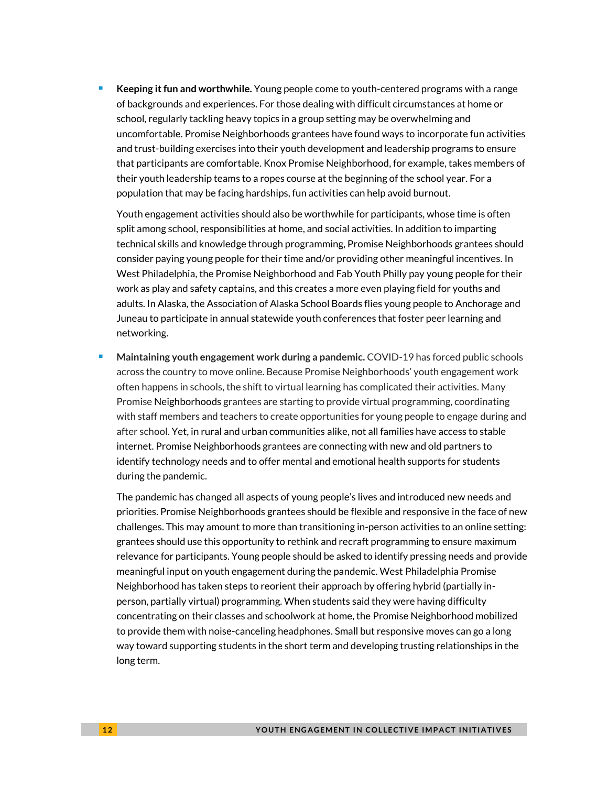<sup>◼</sup> **Keeping it fun and worthwhile.** Young people come to youth-centered programs with a range of backgrounds and experiences. For those dealing with difficult circumstances at home or school, regularly tackling heavy topics in a group setting may be overwhelming and uncomfortable. Promise Neighborhoods grantees have found ways to incorporate fun activities and trust-building exercises into their youth development and leadership programs to ensure that participants are comfortable. Knox Promise Neighborhood, for example, takes members of their youth leadership teams to a ropes course at the beginning of the school year. For a population that may be facing hardships, fun activities can help avoid burnout.

Youth engagement activities should also be worthwhile for participants, whose time is often split among school, responsibilities at home, and social activities. In addition to imparting technical skills and knowledge through programming, Promise Neighborhoods grantees should consider paying young people for their time and/or providing other meaningful incentives. In West Philadelphia, the Promise Neighborhood and Fab Youth Philly pay young people for their work as play and safety captains, and this creates a more even playing field for youths and adults. In Alaska, the Association of Alaska School Boards flies young people to Anchorage and Juneau to participate in annual statewide youth conferences that foster peer learning and networking.

<sup>◼</sup> **Maintaining youth engagement work during a pandemic.** COVID-19 has forced public schools across the country to move online. Because Promise Neighborhoods' youth engagement work often happens in schools, the shift to virtual learning has complicated their activities. Many Promise Neighborhoods grantees are starting to provide virtual programming, coordinating with staff members and teachers to create opportunities for young people to engage during and after school. Yet, in rural and urban communities alike, not all families have access to stable internet. Promise Neighborhoods grantees are connecting with new and old partners to identify technology needs and to offer mental and emotional health supports for students during the pandemic.

The pandemic has changed all aspects of young people's lives and introduced new needs and priorities. Promise Neighborhoods grantees should be flexible and responsive in the face of new challenges. This may amount to more than transitioning in-person activities to an online setting: grantees should use this opportunity to rethink and recraft programming to ensure maximum relevance for participants. Young people should be asked to identify pressing needs and provide meaningful input on youth engagement during the pandemic. West Philadelphia Promise Neighborhood has taken steps to reorient their approach by offering hybrid (partially inperson, partially virtual) programming. When students said they were having difficulty concentrating on their classes and schoolwork at home, the Promise Neighborhood mobilized to provide them with noise-canceling headphones. Small but responsive moves can go a long way toward supporting students in the short term and developing trusting relationships in the long term.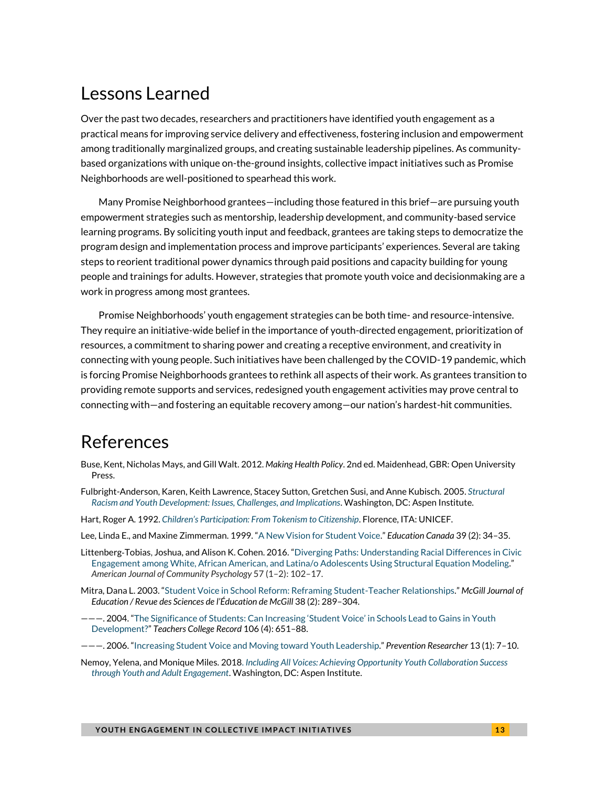# Lessons Learned

Over the past two decades, researchers and practitioners have identified youth engagement as a practical means for improving service delivery and effectiveness, fostering inclusion and empowerment among traditionally marginalized groups, and creating sustainable leadership pipelines. As communitybased organizations with unique on-the-ground insights, collective impact initiatives such as Promise Neighborhoods are well-positioned to spearhead this work.

Many Promise Neighborhood grantees—including those featured in this brief—are pursuing youth empowerment strategies such as mentorship, leadership development, and community-based service learning programs. By soliciting youth input and feedback, grantees are taking steps to democratize the program design and implementation process and improve participants' experiences. Several are taking steps to reorient traditional power dynamics through paid positions and capacity building for young people and trainings for adults. However, strategies that promote youth voice and decisionmaking are a work in progress among most grantees.

Promise Neighborhoods' youth engagement strategies can be both time- and resource-intensive. They require an initiative-wide belief in the importance of youth-directed engagement, prioritization of resources, a commitment to sharing power and creating a receptive environment, and creativity in connecting with young people. Such initiatives have been challenged by the COVID-19 pandemic, which is forcing Promise Neighborhoods grantees to rethink all aspects of their work. As grantees transition to providing remote supports and services, redesigned youth engagement activities may prove central to connecting with—and fostering an equitable recovery among—our nation's hardest-hit communities.

# References

- Buse, Kent, Nicholas Mays, and Gill Walt. 2012. *Making Health Policy*. 2nd ed. Maidenhead, GBR: Open University Press.
- Fulbright-Anderson, Karen, Keith Lawrence, Stacey Sutton, Gretchen Susi, and Anne Kubisch. 2005. *[Structural](https://www.aspeninstitute.org/publications/structural-racism-youth-development-issues-challenges-implications/)  [Racism and Youth Development: Issues, Challenges, and Implications](https://www.aspeninstitute.org/publications/structural-racism-youth-development-issues-challenges-implications/)*. Washington, DC: Aspen Institute.
- Hart, Roger A. 1992. *[Children's Participation: From Tokenism to Citizenship](https://www.unicef-irc.org/publications/pdf/childrens_participation.pdf)*. Florence, ITA: UNICEF.
- Lee, Linda E., and Maxine Zimmerman. 1999. "A [New Vision for Student Voice](https://www.edcan.ca/wp-content/uploads/EdCan-1999-v39-n2-Lee.pdf)." *Education Canada* 39 (2): 34–35.
- Littenberg‐Tobias, Joshua, and Alison K. Cohen. 2016. "[Diverging Paths: Understanding Racial Differences in Civic](https://doi.org/10.1002/ajcp.12027)  [Engagement among White, African American, and Latina/o Adolescents Using Structural Equation Modeling.](https://doi.org/10.1002/ajcp.12027)" *American Journal of Community Psychology* 57 (1–2): 102–17.
- Mitra, Dana L. 2003. "[Student Voice in School Reform: Reframing Student-Teacher Relationships](https://mje.mcgill.ca/article/view/8686)." *McGill Journal of Education / Revue des Sciences de l'Éducation de McGill* 38 (2): 289–304.
- ———. 2004. "[The Significance of Students: Can Increasing](http://curriculumstudies.pbworks.com/w/file/fetch/52018177/Mitra2004TheSignificanceofChildrensVoice_TCRecord.pdf) 'Student Voice' in Schools Lead to Gains in Youth [Development?](http://curriculumstudies.pbworks.com/w/file/fetch/52018177/Mitra2004TheSignificanceofChildrensVoice_TCRecord.pdf)" *Teachers College Record* 106 (4): 651–88.
- ———. 2006. "[Increasing Student Voice and Moving toward Youth Leadership](https://eboardsecure.dcsdk12.org/attachments/080aee20-ba2b-4149-b28f-7d402eb4de1c.pdf)." *Prevention Researcher* 13 (1): 7–10.
- Nemoy, Yelena, and Monique Miles. 2018. *[Including All Voices: Achieving Opportunity Youth Collaboration Success](https://aspencommunitysolutions.org/wp-content/uploads/2018/01/IncludingAllVoices-SCREEN-FINAL.pdf)  [through Youth and Adult Engagement](https://aspencommunitysolutions.org/wp-content/uploads/2018/01/IncludingAllVoices-SCREEN-FINAL.pdf)*. Washington, DC: Aspen Institute.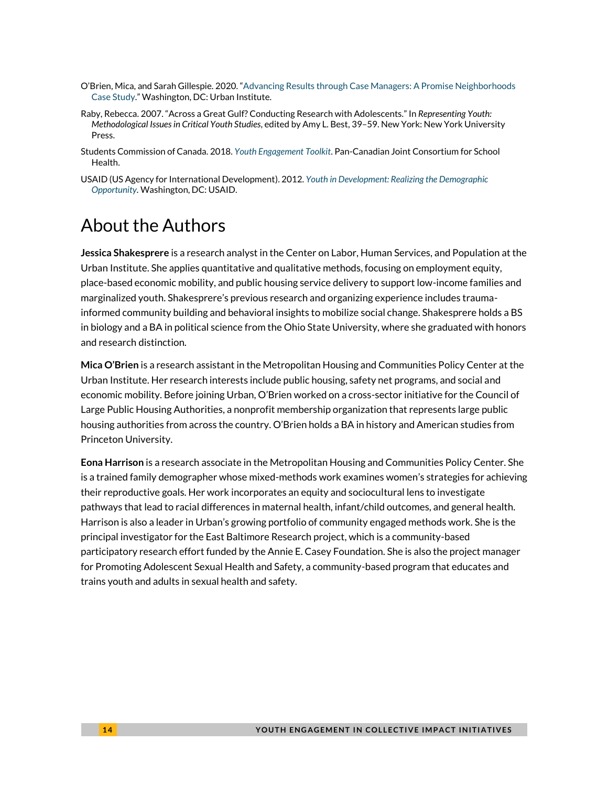- O'Brien, Mica, and Sarah Gillespie. 2020. "[Advancing Results through Case Managers: A Promise Neighborhoods](https://www.urban.org/research/publication/advancing-results-through-case-managers)  [Case Study](https://www.urban.org/research/publication/advancing-results-through-case-managers)." Washington, DC: Urban Institute.
- Raby, Rebecca. 2007. "Across a Great Gulf? Conducting Research with Adolescents." In *Representing Youth: Methodological Issues in Critical Youth Studies*, edited by Amy L. Best, 39–59. New York: New York University Press.
- Students Commission of Canada. 2018. *[Youth Engagement](http://www.jcsh-cces.ca/explore-resources/youth-engagement/) Toolkit*. Pan-Canadian Joint Consortium for School Health.
- USAID (US Agency for International Development). 2012. *[Youth in Development: Realizing the Demographic](https://www.usaid.gov/sites/default/files/documents/1870/Youth_in_Development_Policy.pdf)  [Opportunity.](https://www.usaid.gov/sites/default/files/documents/1870/Youth_in_Development_Policy.pdf)* Washington, DC: USAID.

# About the Authors

**Jessica Shakesprere** is a research analyst in the Center on Labor, Human Services, and Population at the Urban Institute. She applies quantitative and qualitative methods, focusing on employment equity, place-based economic mobility, and public housing service delivery to support low-income families and marginalized youth. Shakesprere's previous research and organizing experience includes traumainformed community building and behavioral insights to mobilize social change. Shakesprere holds a BS in biology and a BA in political science from the Ohio State University, where she graduated with honors and research distinction.

**Mica O'Brien** is a research assistant in the Metropolitan Housing and Communities Policy Center at the Urban Institute. Her research interests include public housing, safety net programs, and social and economic mobility. Before joining Urban, O'Brien worked on a cross-sector initiative for the Council of Large Public Housing Authorities, a nonprofit membership organization that represents large public housing authorities from across the country. O'Brien holds a BA in history and American studies from Princeton University.

**Eona Harrison** is a research associate in the Metropolitan Housing and Communities Policy Center. She is a trained family demographer whose mixed-methods work examines women's strategies for achieving their reproductive goals. Her work incorporates an equity and sociocultural lens to investigate pathways that lead to racial differences in maternal health, infant/child outcomes, and general health. Harrison is also a leader in Urban's growing portfolio of community engaged methods work. She is the principal investigator for the East Baltimore Research project, which is a community-based participatory research effort funded by the Annie E. Casey Foundation. She is also the project manager for Promoting Adolescent Sexual Health and Safety, a community-based program that educates and trains youth and adults in sexual health and safety.